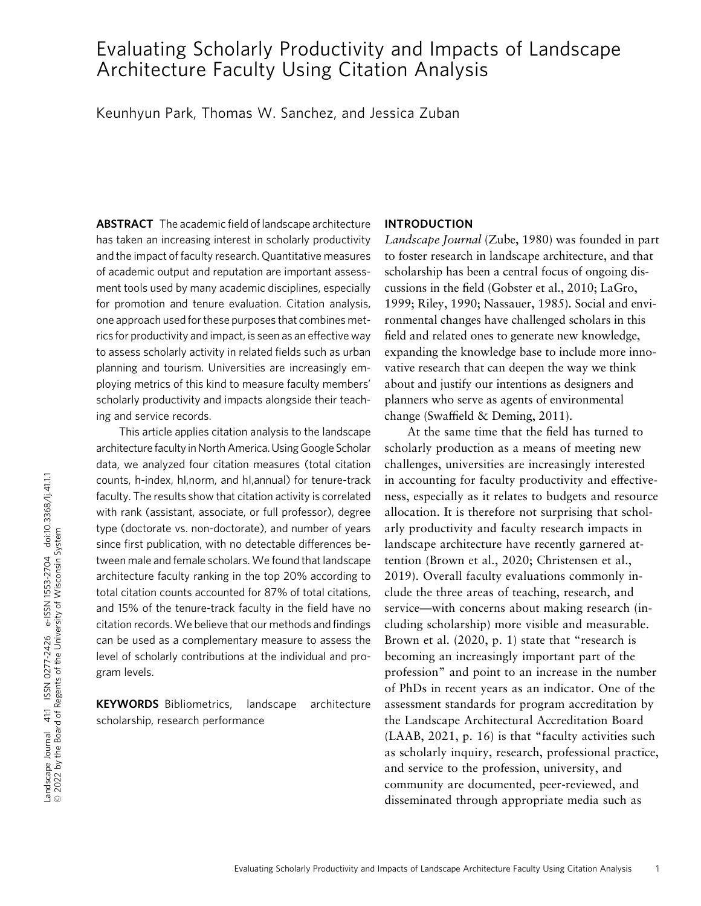# Evaluating Scholarly Productivity and Impacts of Landscape Architecture Faculty Using Citation Analysis

Keunhyun Park, Thomas W. Sanchez, and Jessica Zuban

ABSTRACT The academic field of landscape architecture has taken an increasing interest in scholarly productivity and the impact of faculty research. Quantitative measures of academic output and reputation are important assessment tools used by many academic disciplines, especially for promotion and tenure evaluation. Citation analysis, one approach used for these purposes that combines metrics for productivity and impact, is seen as an effective way to assess scholarly activity in related fields such as urban planning and tourism. Universities are increasingly employing metrics of this kind to measure faculty members' scholarly productivity and impacts alongside their teaching and service records.

This article applies citation analysis to the landscape architecture faculty in North America. Using Google Scholar data, we analyzed four citation measures (total citation counts, h-index, hI,norm, and hI,annual) for tenure-track faculty. The results show that citation activity is correlated with rank (assistant, associate, or full professor), degree type (doctorate vs. non-doctorate), and number of years since first publication, with no detectable differences between male and female scholars. We found that landscape architecture faculty ranking in the top 20% according to total citation counts accounted for 87% of total citations, and 15% of the tenure-track faculty in the field have no citation records.We believe that our methods and findings can be used as a complementary measure to assess the level of scholarly contributions at the individual and program levels.

KEYWORDS Bibliometrics, landscape architecture scholarship, research performance

# INTRODUCTION

Landscape Journal (Zube, 1980) was founded in part to foster research in landscape architecture, and that scholarship has been a central focus of ongoing discussions in the field (Gobster et al., 2010; LaGro, 1999; Riley, 1990; Nassauer, 1985). Social and environmental changes have challenged scholars in this field and related ones to generate new knowledge, expanding the knowledge base to include more innovative research that can deepen the way we think about and justify our intentions as designers and planners who serve as agents of environmental change (Swaffield & Deming, 2011).

At the same time that the field has turned to scholarly production as a means of meeting new challenges, universities are increasingly interested in accounting for faculty productivity and effectiveness, especially as it relates to budgets and resource allocation. It is therefore not surprising that scholarly productivity and faculty research impacts in landscape architecture have recently garnered attention (Brown et al., 2020; Christensen et al., 2019). Overall faculty evaluations commonly include the three areas of teaching, research, and service—with concerns about making research (including scholarship) more visible and measurable. Brown et al. (2020, p. 1) state that "research is becoming an increasingly important part of the profession" and point to an increase in the number of PhDs in recent years as an indicator. One of the assessment standards for program accreditation by the Landscape Architectural Accreditation Board (LAAB, 2021, p. 16) is that "faculty activities such as scholarly inquiry, research, professional practice, and service to the profession, university, and community are documented, peer-reviewed, and disseminated through appropriate media such as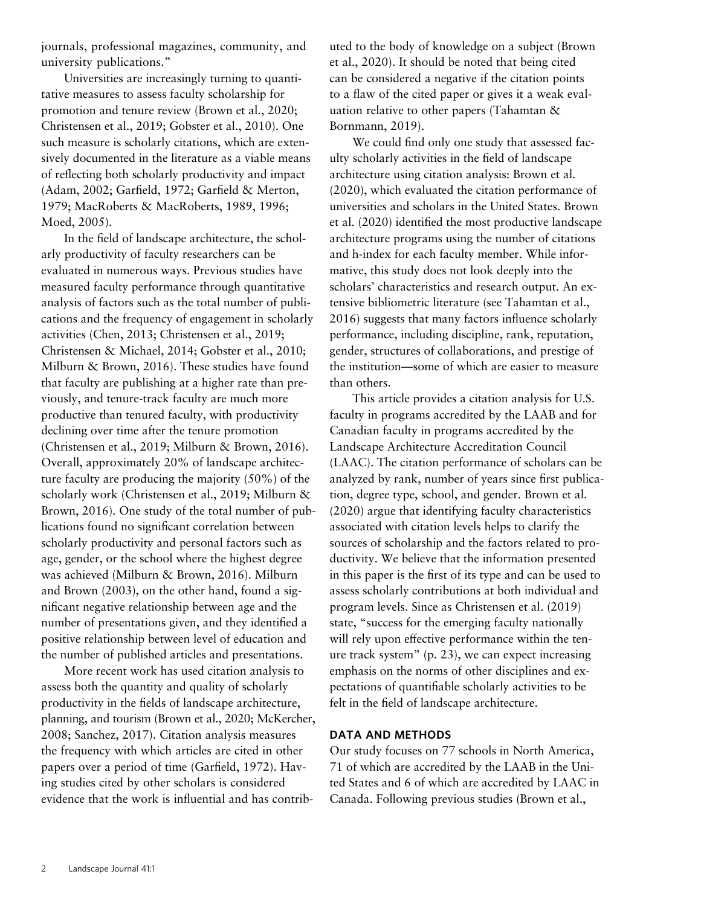journals, professional magazines, community, and university publications."

Universities are increasingly turning to quantitative measures to assess faculty scholarship for promotion and tenure review (Brown et al., 2020; Christensen et al., 2019; Gobster et al., 2010). One such measure is scholarly citations, which are extensively documented in the literature as a viable means of reflecting both scholarly productivity and impact (Adam, 2002; Garfield, 1972; Garfield & Merton, 1979; MacRoberts & MacRoberts, 1989, 1996; Moed, 2005).

In the field of landscape architecture, the scholarly productivity of faculty researchers can be evaluated in numerous ways. Previous studies have measured faculty performance through quantitative analysis of factors such as the total number of publications and the frequency of engagement in scholarly activities (Chen, 2013; Christensen et al., 2019; Christensen & Michael, 2014; Gobster et al., 2010; Milburn & Brown, 2016). These studies have found that faculty are publishing at a higher rate than previously, and tenure-track faculty are much more productive than tenured faculty, with productivity declining over time after the tenure promotion (Christensen et al., 2019; Milburn & Brown, 2016). Overall, approximately 20% of landscape architecture faculty are producing the majority (50%) of the scholarly work (Christensen et al., 2019; Milburn & Brown, 2016). One study of the total number of publications found no significant correlation between scholarly productivity and personal factors such as age, gender, or the school where the highest degree was achieved (Milburn & Brown, 2016). Milburn and Brown (2003), on the other hand, found a significant negative relationship between age and the number of presentations given, and they identified a positive relationship between level of education and the number of published articles and presentations.

More recent work has used citation analysis to assess both the quantity and quality of scholarly productivity in the fields of landscape architecture, planning, and tourism (Brown et al., 2020; McKercher, 2008; Sanchez, 2017). Citation analysis measures the frequency with which articles are cited in other papers over a period of time (Garfield, 1972). Having studies cited by other scholars is considered evidence that the work is influential and has contributed to the body of knowledge on a subject (Brown et al., 2020). It should be noted that being cited can be considered a negative if the citation points to a flaw of the cited paper or gives it a weak evaluation relative to other papers (Tahamtan & Bornmann, 2019).

We could find only one study that assessed faculty scholarly activities in the field of landscape architecture using citation analysis: Brown et al. (2020), which evaluated the citation performance of universities and scholars in the United States. Brown et al. (2020) identified the most productive landscape architecture programs using the number of citations and h-index for each faculty member. While informative, this study does not look deeply into the scholars' characteristics and research output. An extensive bibliometric literature (see Tahamtan et al., 2016) suggests that many factors influence scholarly performance, including discipline, rank, reputation, gender, structures of collaborations, and prestige of the institution—some of which are easier to measure than others.

This article provides a citation analysis for U.S. faculty in programs accredited by the LAAB and for Canadian faculty in programs accredited by the Landscape Architecture Accreditation Council (LAAC). The citation performance of scholars can be analyzed by rank, number of years since first publication, degree type, school, and gender. Brown et al. (2020) argue that identifying faculty characteristics associated with citation levels helps to clarify the sources of scholarship and the factors related to productivity. We believe that the information presented in this paper is the first of its type and can be used to assess scholarly contributions at both individual and program levels. Since as Christensen et al. (2019) state, "success for the emerging faculty nationally will rely upon effective performance within the tenure track system" (p. 23), we can expect increasing emphasis on the norms of other disciplines and expectations of quantifiable scholarly activities to be felt in the field of landscape architecture.

# DATA AND METHODS

Our study focuses on 77 schools in North America, 71 of which are accredited by the LAAB in the United States and 6 of which are accredited by LAAC in Canada. Following previous studies (Brown et al.,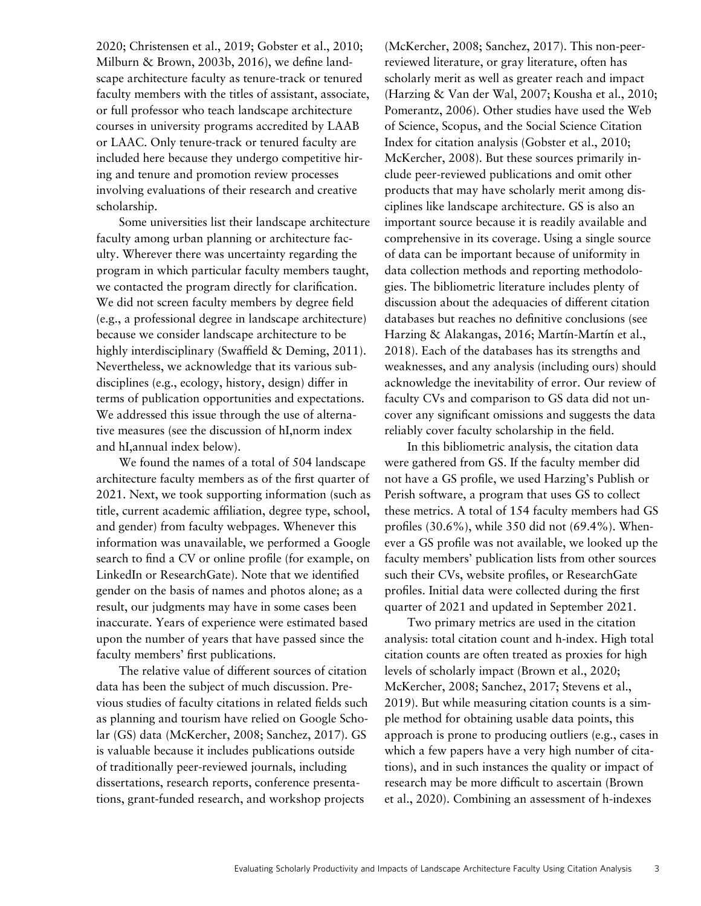2020; Christensen et al., 2019; Gobster et al., 2010; Milburn & Brown, 2003b, 2016), we define landscape architecture faculty as tenure-track or tenured faculty members with the titles of assistant, associate, or full professor who teach landscape architecture courses in university programs accredited by LAAB or LAAC. Only tenure-track or tenured faculty are included here because they undergo competitive hiring and tenure and promotion review processes involving evaluations of their research and creative scholarship.

Some universities list their landscape architecture faculty among urban planning or architecture faculty. Wherever there was uncertainty regarding the program in which particular faculty members taught, we contacted the program directly for clarification. We did not screen faculty members by degree field (e.g., a professional degree in landscape architecture) because we consider landscape architecture to be highly interdisciplinary (Swaffield & Deming, 2011). Nevertheless, we acknowledge that its various subdisciplines (e.g., ecology, history, design) differ in terms of publication opportunities and expectations. We addressed this issue through the use of alternative measures (see the discussion of hI,norm index and hI,annual index below).

We found the names of a total of 504 landscape architecture faculty members as of the first quarter of 2021. Next, we took supporting information (such as title, current academic affiliation, degree type, school, and gender) from faculty webpages. Whenever this information was unavailable, we performed a Google search to find a CV or online profile (for example, on LinkedIn or ResearchGate). Note that we identified gender on the basis of names and photos alone; as a result, our judgments may have in some cases been inaccurate. Years of experience were estimated based upon the number of years that have passed since the faculty members' first publications.

The relative value of different sources of citation data has been the subject of much discussion. Previous studies of faculty citations in related fields such as planning and tourism have relied on Google Scholar (GS) data (McKercher, 2008; Sanchez, 2017). GS is valuable because it includes publications outside of traditionally peer-reviewed journals, including dissertations, research reports, conference presentations, grant-funded research, and workshop projects

(McKercher, 2008; Sanchez, 2017). This non-peerreviewed literature, or gray literature, often has scholarly merit as well as greater reach and impact (Harzing & Van der Wal, 2007; Kousha et al., 2010; Pomerantz, 2006). Other studies have used the Web of Science, Scopus, and the Social Science Citation Index for citation analysis (Gobster et al., 2010; McKercher, 2008). But these sources primarily include peer-reviewed publications and omit other products that may have scholarly merit among disciplines like landscape architecture. GS is also an important source because it is readily available and comprehensive in its coverage. Using a single source of data can be important because of uniformity in data collection methods and reporting methodologies. The bibliometric literature includes plenty of discussion about the adequacies of different citation databases but reaches no definitive conclusions (see Harzing & Alakangas, 2016; Martín-Martín et al., 2018). Each of the databases has its strengths and weaknesses, and any analysis (including ours) should acknowledge the inevitability of error. Our review of faculty CVs and comparison to GS data did not uncover any significant omissions and suggests the data reliably cover faculty scholarship in the field.

In this bibliometric analysis, the citation data were gathered from GS. If the faculty member did not have a GS profile, we used Harzing's Publish or Perish software, a program that uses GS to collect these metrics. A total of 154 faculty members had GS profiles (30.6%), while 350 did not (69.4%). Whenever a GS profile was not available, we looked up the faculty members' publication lists from other sources such their CVs, website profiles, or ResearchGate profiles. Initial data were collected during the first quarter of 2021 and updated in September 2021.

Two primary metrics are used in the citation analysis: total citation count and h-index. High total citation counts are often treated as proxies for high levels of scholarly impact (Brown et al., 2020; McKercher, 2008; Sanchez, 2017; Stevens et al., 2019). But while measuring citation counts is a simple method for obtaining usable data points, this approach is prone to producing outliers (e.g., cases in which a few papers have a very high number of citations), and in such instances the quality or impact of research may be more difficult to ascertain (Brown et al., 2020). Combining an assessment of h-indexes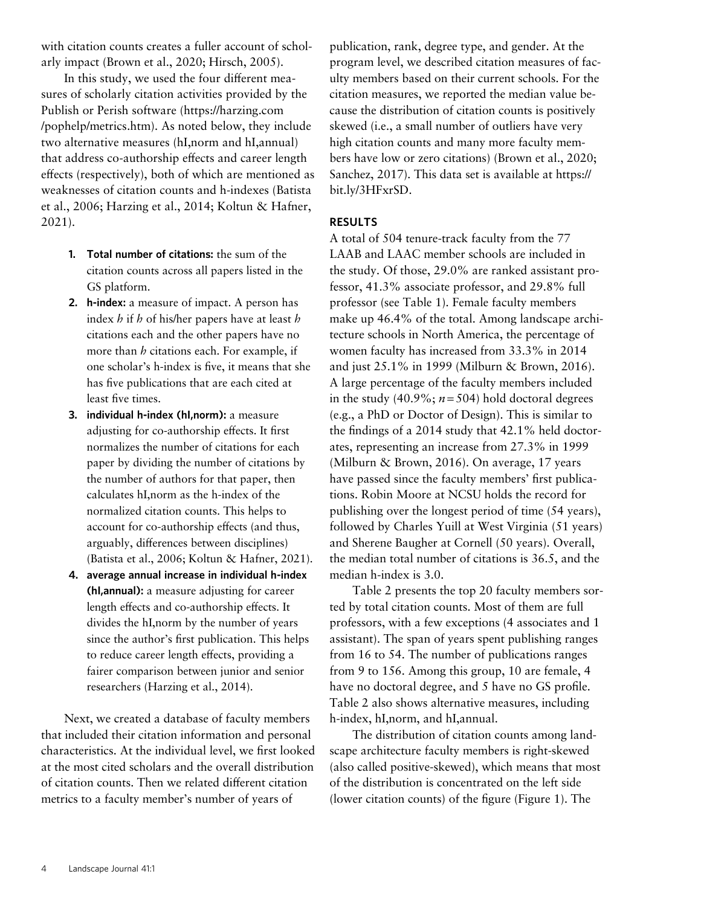with citation counts creates a fuller account of scholarly impact (Brown et al., 2020; Hirsch, 2005).

In this study, we used the four different measures of scholarly citation activities provided by the Publish or Perish software ([https://harzing.com](https://harzing.com/pophelp/metrics.htm) [/pophelp/metrics.htm\)](https://harzing.com/pophelp/metrics.htm). As noted below, they include two alternative measures (hI,norm and hI,annual) that address co-authorship effects and career length effects (respectively), both of which are mentioned as weaknesses of citation counts and h-indexes (Batista et al., 2006; Harzing et al., 2014; Koltun & Hafner, 2021).

- 1. Total number of citations: the sum of the citation counts across all papers listed in the GS platform.
- 2. h-index: a measure of impact. A person has index  $h$  if  $h$  of his/her papers have at least  $h$ citations each and the other papers have no more than *h* citations each. For example, if one scholar's h-index is five, it means that she has five publications that are each cited at least five times.
- 3. individual h-index (hI,norm): a measure adjusting for co-authorship effects. It first normalizes the number of citations for each paper by dividing the number of citations by the number of authors for that paper, then calculates hI,norm as the h-index of the normalized citation counts. This helps to account for co-authorship effects (and thus, arguably, differences between disciplines) (Batista et al., 2006; Koltun & Hafner, 2021).
- 4. average annual increase in individual h-index (hI,annual): a measure adjusting for career length effects and co-authorship effects. It divides the hI,norm by the number of years since the author's first publication. This helps to reduce career length effects, providing a fairer comparison between junior and senior researchers (Harzing et al., 2014).

Next, we created a database of faculty members that included their citation information and personal characteristics. At the individual level, we first looked at the most cited scholars and the overall distribution of citation counts. Then we related different citation metrics to a faculty member's number of years of

publication, rank, degree type, and gender. At the program level, we described citation measures of faculty members based on their current schools. For the citation measures, we reported the median value because the distribution of citation counts is positively skewed (i.e., a small number of outliers have very high citation counts and many more faculty members have low or zero citations) (Brown et al., 2020; Sanchez, 2017). This data set is available at [https://](https://bit.ly/3HFxrSD) [bit.ly/3HFxrSD](https://bit.ly/3HFxrSD).

# RESULTS

A total of 504 tenure-track faculty from the 77 LAAB and LAAC member schools are included in the study. Of those, 29.0% are ranked assistant professor, 41.3% associate professor, and 29.8% full professor (see Table 1). Female faculty members make up 46.4% of the total. Among landscape architecture schools in North America, the percentage of women faculty has increased from 33.3% in 2014 and just 25.1% in 1999 (Milburn & Brown, 2016). A large percentage of the faculty members included in the study (40.9%;  $n = 504$ ) hold doctoral degrees (e.g., a PhD or Doctor of Design). This is similar to the findings of a 2014 study that 42.1% held doctorates, representing an increase from 27.3% in 1999 (Milburn & Brown, 2016). On average, 17 years have passed since the faculty members' first publications. Robin Moore at NCSU holds the record for publishing over the longest period of time (54 years), followed by Charles Yuill at West Virginia (51 years) and Sherene Baugher at Cornell (50 years). Overall, the median total number of citations is 36.5, and the median h-index is 3.0.

Table 2 presents the top 20 faculty members sorted by total citation counts. Most of them are full professors, with a few exceptions (4 associates and 1 assistant). The span of years spent publishing ranges from 16 to 54. The number of publications ranges from 9 to 156. Among this group, 10 are female, 4 have no doctoral degree, and 5 have no GS profile. Table 2 also shows alternative measures, including h-index, hI,norm, and hI,annual.

The distribution of citation counts among landscape architecture faculty members is right-skewed (also called positive-skewed), which means that most of the distribution is concentrated on the left side (lower citation counts) of the figure (Figure 1). The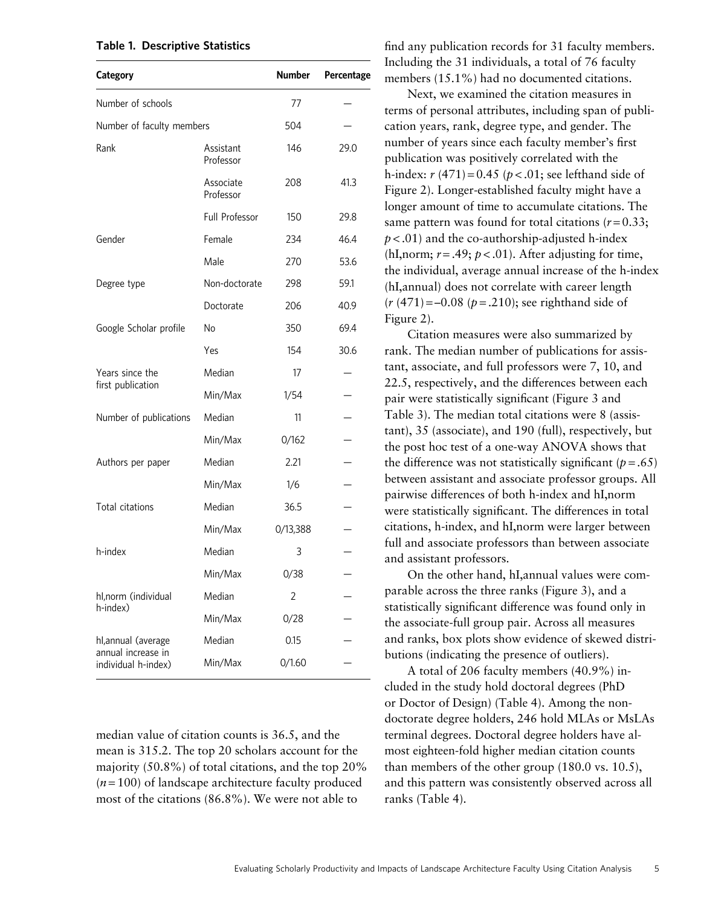## Table 1. Descriptive Statistics

| Category                                  |                        | <b>Number</b> | Percentage |
|-------------------------------------------|------------------------|---------------|------------|
| Number of schools                         |                        | 77            |            |
| Number of faculty members                 |                        | 504           |            |
| Rank                                      | Assistant<br>Professor | 146           | 29.0       |
|                                           | Associate<br>Professor | 208           | 41.3       |
|                                           | Full Professor         | 150           | 29.8       |
| Gender                                    | Female                 | 234           | 46.4       |
|                                           | Male                   | 270           | 53.6       |
| Degree type                               | Non-doctorate          | 298           | 59.1       |
|                                           | Doctorate              | 206           | 40.9       |
| Google Scholar profile                    | <b>No</b>              | 350           | 69.4       |
|                                           | Yes                    | 154           | 30.6       |
| Years since the                           | Median                 | 17            |            |
| first publication                         | Min/Max                | 1/54          |            |
| Number of publications                    | Median                 | 11            |            |
|                                           | Min/Max                | 0/162         |            |
| Authors per paper                         | Median                 | 2.21          |            |
|                                           | Min/Max                | 1/6           |            |
| Total citations                           | Median                 | 36.5          |            |
|                                           | Min/Max                | 0/13,388      |            |
| h-index                                   | Median                 | 3             |            |
|                                           | Min/Max                | 0/38          |            |
| hl, norm (individual                      | Median                 | 2             |            |
| h-index)                                  | Min/Max                | 0/28          |            |
| hl,annual (average                        | Median                 | 0.15          |            |
| annual increase in<br>individual h-index) | Min/Max                | 0/1.60        |            |

median value of citation counts is 36.5, and the mean is 315.2. The top 20 scholars account for the majority (50.8%) of total citations, and the top 20%  $(n=100)$  of landscape architecture faculty produced most of the citations (86.8%). We were not able to

find any publication records for 31 faculty members. Including the 31 individuals, a total of 76 faculty members (15.1%) had no documented citations.

Next, we examined the citation measures in terms of personal attributes, including span of publication years, rank, degree type, and gender. The number of years since each faculty member's first publication was positively correlated with the h-index:  $r(471) = 0.45 (p < .01;$  see lefthand side of Figure 2). Longer-established faculty might have a longer amount of time to accumulate citations. The same pattern was found for total citations ( $r = 0.33$ ;  $p < .01$ ) and the co-authorship-adjusted h-index (hI,norm;  $r = .49$ ;  $p < .01$ ). After adjusting for time, the individual, average annual increase of the h-index (hI,annual) does not correlate with career length  $(r (471) = -0.08 (p = .210)$ ; see righthand side of Figure 2).

Citation measures were also summarized by rank. The median number of publications for assistant, associate, and full professors were 7, 10, and 22.5, respectively, and the differences between each pair were statistically significant (Figure 3 and Table 3). The median total citations were 8 (assistant), 35 (associate), and 190 (full), respectively, but the post hoc test of a one-way ANOVA shows that the difference was not statistically significant ( $p = .65$ ) between assistant and associate professor groups. All pairwise differences of both h-index and hI,norm were statistically significant. The differences in total citations, h-index, and hI,norm were larger between full and associate professors than between associate and assistant professors.

On the other hand, hI,annual values were comparable across the three ranks (Figure 3), and a statistically significant difference was found only in the associate-full group pair. Across all measures and ranks, box plots show evidence of skewed distributions (indicating the presence of outliers).

A total of 206 faculty members (40.9%) included in the study hold doctoral degrees (PhD or Doctor of Design) (Table 4). Among the nondoctorate degree holders, 246 hold MLAs or MsLAs terminal degrees. Doctoral degree holders have almost eighteen-fold higher median citation counts than members of the other group (180.0 vs. 10.5), and this pattern was consistently observed across all ranks (Table 4).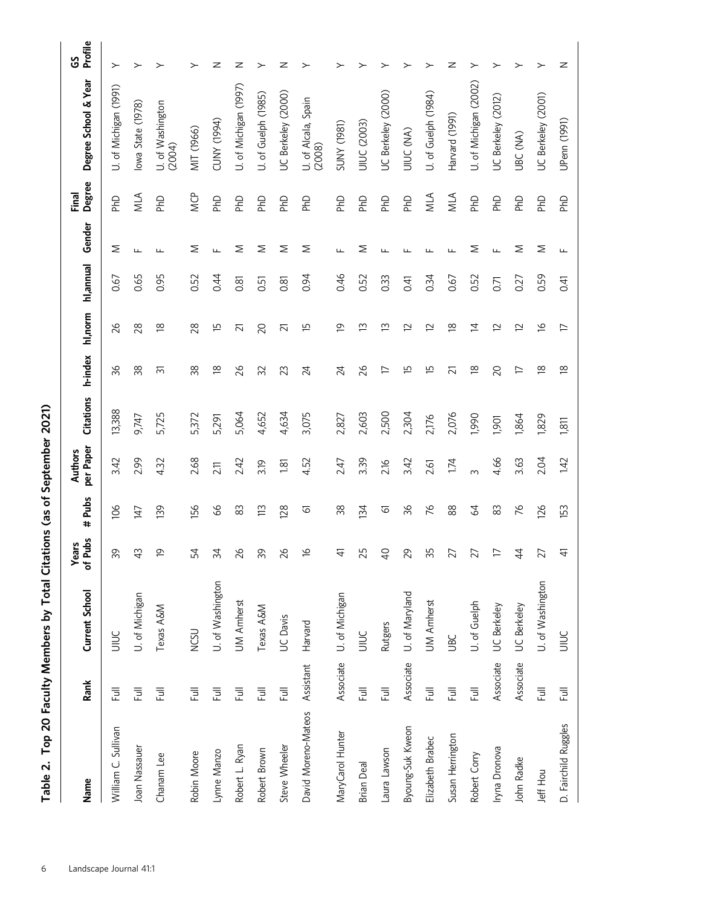| Name                 | Rank                        | Current School           | Years<br>of Pubs    | # Pubs          | per Paper<br>Authors | <b>Citations</b> | h-index                  | hl,norm                  | hl,annual      | Gender       | Degree<br>Final       | Degree School & Year          | Profile<br>ပ္ပ |
|----------------------|-----------------------------|--------------------------|---------------------|-----------------|----------------------|------------------|--------------------------|--------------------------|----------------|--------------|-----------------------|-------------------------------|----------------|
| William C. Sullivan  | Full                        | JIIUC                    | 99                  | 106             | 3.42                 | 13,388           | 96                       | $\frac{8}{5}$            | 0.67           | Σ            | <b>DHD</b>            | U. of Michigan (1991)         | ≻              |
| Joan Nassauer        | 言                           | U. of Michigan           | ਼੍ਰ                 | 147             | 2.99                 | 9,747            | 38                       | 28                       | 0.65           | Щ            | MLA                   | lowa State (1978)             | ≻              |
| Chanam Lee           | 巨                           | Texas A&M                | $\overline{\sigma}$ | 139             | 4.32                 | 5,725            | ನ                        | $\approx$                | 0.95           | щ            | <b>DHD</b>            | U. of Washington<br>(2004)    | ≻              |
| Robin Moore          | 巨                           | <b>NCSU</b>              | 54                  | 156             | 2.68                 | 5,372            | 38                       | 28                       | 0.52           | Σ            | <b>MCP</b>            | MIT (1966)                    | ≻              |
| Lynne Manzo          | 巨                           | U. of Washington         | 24                  | 99              | 211                  | 5,291            | $\approx$                | E                        | 0.44           | Щ            | <b>PhD</b>            | <b>CDNY (1994)</b>            | z              |
| Robert L. Ryan       | $\overline{\overline{\Xi}}$ | <b>UM Amherst</b>        | $\frac{8}{2}$       | 83              | 2.42                 | 5,064            | $\frac{8}{5}$            | 21                       | 0.81           | Σ            | <b>DHD</b>            | U. of Michigan (1997)         | z              |
| Robert Brown         | 巨                           | Texas A&M                | 99                  | $\widetilde{=}$ | 3.19                 | 4,652            | 32                       | 20                       | 0.51           | Σ            | <b>O<sub>Nd</sub></b> | U. of Guelph (1985)           | ≻              |
| Steve Wheeler        | 巨                           | UC Davis                 | $\frac{8}{2}$       | 128             | 181                  | 4,634            | 23                       | 21                       | 0.81           | Σ            | <b>DHD</b>            | UC Berkeley (2000)            | z              |
| David Moreno-Mateos  | Assistant                   | Harvard                  | $\tilde{\sigma}$    | ত               | 4.52                 | 3,075            | 24                       | ſΩ                       | 0.94           | Σ            | <b>O<sub>Nd</sub></b> | U. of Alcala, Spain<br>(2008) | ≻              |
| MaryCarol Hunter     |                             | Associate U. of Michigan | क्                  | 38              | 2.47                 | 2,827            | 24                       | $\overline{9}$           | 0.46           | щ            | <b>O<sub>Nd</sub></b> | (1861) ANNS                   | ↘              |
| Brian Deal           | 一<br>Eul                    | JIIUC                    | 25                  | 134             | 3.39                 | 2,603            | 92                       | ഇ                        | 0.52           | ⋝            | <b>DHD</b>            | UIUC (2003)                   |                |
| Laura Lawson         | <b>THE</b>                  | Rutgers                  | $\beta$             | ତ               | 2.16                 | 2,500            | $\overline{\phantom{0}}$ | ഇ                        | 0.33           | ш            | <b>DHD</b>            | UC Berkeley (2000)            |                |
| Byoung-Suk Kweon     | Associate                   | U. of Maryland           | 29                  | 36              | 3.42                 | 2,304            | ίр                       | 2                        | 0.41           |              | <b>DHD</b>            | UIUC (NA)                     |                |
| Elizabeth Brabec     | Full                        | <b>UM Amherst</b>        | က္က                 | 76              | 2.61                 | 2,176            | E                        | 12                       | 0.34           |              | MLA                   | U. of Guelph (1984)           |                |
| Susan Herrington     | $\overline{a}$              | <b>UBC</b>               | 27                  | 88              | 1.74                 | 2,076            | 21                       | $\approx$                | 0.67           |              | MLA                   | Harvard (1991)                | z              |
| Robert Corry         | $\equiv$                    | U. of Guelph             | 27                  | $\mathcal{Z}$   | $\infty$             | 1,990            | $\approx$                | $\overline{4}$           | 0.52           | ⋝            | <b>DHD</b>            | U. of Michigan (2002)         |                |
| Iryna Dronova        | Associate                   | UC Berkeley              | $\overline{C}$      | 83              | 4.66                 | 1,901            | 20                       | 12                       | $\overline{0}$ | $\mathbf{L}$ | <b>DHD</b>            | UC Berkeley (2012)            |                |
| John Radke           | Associate                   | <b>UC</b> Berkeley       | $\ddot{4}$          | 76              | 3.63                 | 1,864            | H                        | 12                       | 0.27           | Σ            | <b>O<sub>Nd</sub></b> | UBC (NA)                      |                |
| Jeff Hou             | Full                        | U. of Washington         | 27                  | 126             | 2.04                 | 1,829            | $\approx$                | $\frac{\infty}{2}$       | 0.59           | Σ            | 없                     | UC Berkeley (2001)            |                |
| D. Fairchild Ruggles | $\overline{a}$              | <b>SCILL</b>             | 彑                   | 153             | 1.42                 | 1,811            | $\approx$                | $\overline{\phantom{0}}$ | 0.41           | щ            | <b>DHD</b>            | UPenn (1991)                  | z              |

| ו                       |
|-------------------------|
|                         |
| J                       |
|                         |
| $\frac{1}{2}$           |
|                         |
|                         |
|                         |
| í                       |
| $\frac{1}{2}$           |
| į<br>$\frac{1}{1}$<br>I |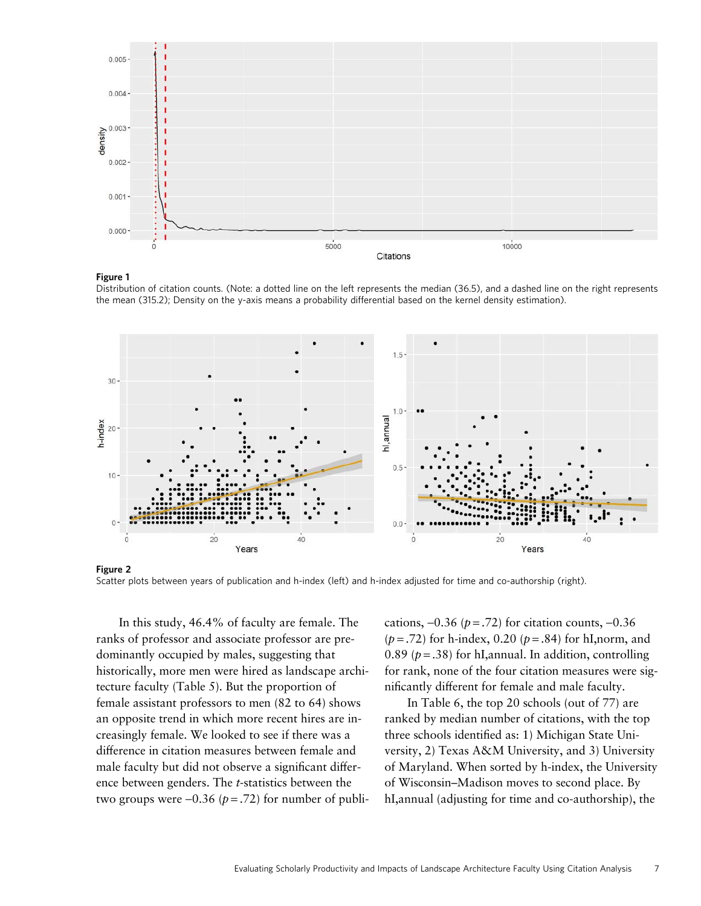

#### Figure 1

Distribution of citation counts. (Note: a dotted line on the left represents the median (36.5), and a dashed line on the right represents the mean (315.2); Density on the y-axis means a probability differential based on the kernel density estimation).





In this study, 46.4% of faculty are female. The ranks of professor and associate professor are predominantly occupied by males, suggesting that historically, more men were hired as landscape architecture faculty (Table 5). But the proportion of female assistant professors to men (82 to 64) shows an opposite trend in which more recent hires are increasingly female. We looked to see if there was a difference in citation measures between female and male faculty but did not observe a significant difference between genders. The t-statistics between the two groups were  $-0.36$  ( $p = .72$ ) for number of publications,  $-0.36$  ( $p = .72$ ) for citation counts,  $-0.36$  $(p=.72)$  for h-index, 0.20  $(p=.84)$  for hI, norm, and 0.89 ( $p = .38$ ) for hI, annual. In addition, controlling for rank, none of the four citation measures were significantly different for female and male faculty.

In Table 6, the top 20 schools (out of 77) are ranked by median number of citations, with the top three schools identified as: 1) Michigan State University, 2) Texas A&M University, and 3) University of Maryland. When sorted by h-index, the University of Wisconsin–Madison moves to second place. By hI,annual (adjusting for time and co-authorship), the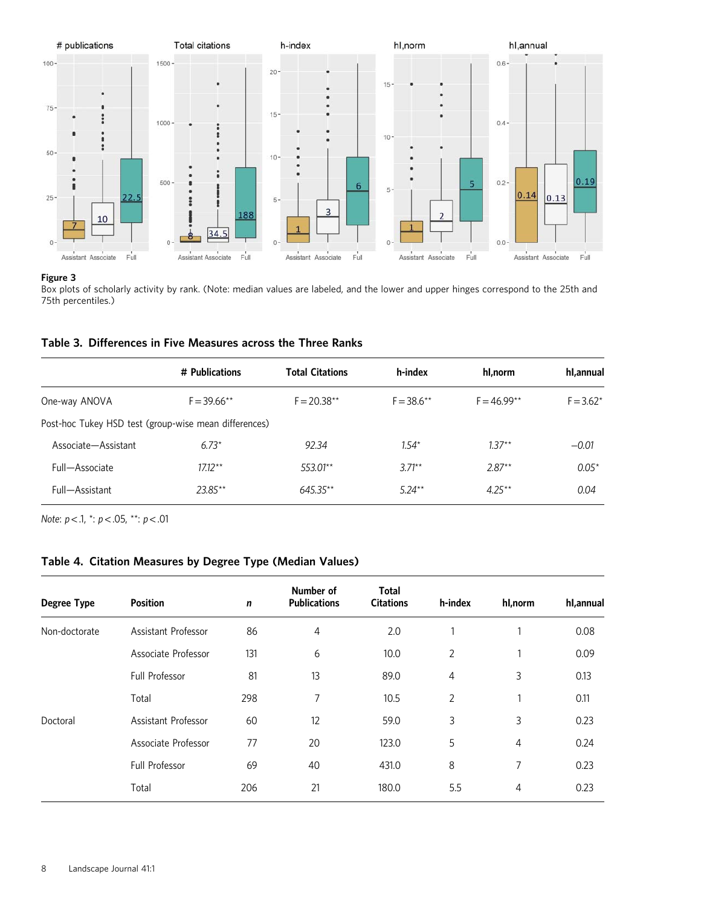

#### Figure 3

Box plots of scholarly activity by rank. (Note: median values are labeled, and the lower and upper hinges correspond to the 25th and 75th percentiles.)

|                                                       | # Publications | <b>Total Citations</b> | h-index       | hl.norm       | hl,annual    |
|-------------------------------------------------------|----------------|------------------------|---------------|---------------|--------------|
| One-way ANOVA                                         | $F = 39.66***$ | $F = 20.38***$         | $F = 38.6***$ | $F = 46.99**$ | $F = 3.62^*$ |
| Post-hoc Tukey HSD test (group-wise mean differences) |                |                        |               |               |              |
| Associate-Assistant                                   | $6.73*$        | 92.34                  | $1.54*$       | $1.37**$      | $-0.01$      |
| Full-Associate                                        | $17.12***$     | 553.01**               | $3.71**$      | $2.87**$      | $0.05*$      |
| Full-Assistant                                        | 23.85**        | 645.35**               | $5.24***$     | $4.25***$     | 0.04         |

Note:  $p < 0.1$ ,  $\dot{p} < 0.05$ ,  $\dot{p} < 0.01$ 

# Table 4. Citation Measures by Degree Type (Median Values)

| <b>Degree Type</b> | <b>Position</b>       | $\mathbf n$ | Number of<br><b>Publications</b> | <b>Total</b><br><b>Citations</b> | h-index        | hl,norm | hl,annual |
|--------------------|-----------------------|-------------|----------------------------------|----------------------------------|----------------|---------|-----------|
| Non-doctorate      | Assistant Professor   | 86          | 4                                | 2.0                              |                |         | 0.08      |
|                    | Associate Professor   | 131         | 6                                | 10.0                             | $\overline{2}$ |         | 0.09      |
|                    | <b>Full Professor</b> | 81          | 13                               | 89.0                             | 4              | 3       | 0.13      |
|                    | Total                 | 298         | 7                                | 10.5                             | 2              | 1       | 0.11      |
| Doctoral           | Assistant Professor   | 60          | 12                               | 59.0                             | 3              | 3       | 0.23      |
|                    | Associate Professor   | 77          | 20                               | 123.0                            | 5              | 4       | 0.24      |
|                    | <b>Full Professor</b> | 69          | 40                               | 431.0                            | 8              | 7       | 0.23      |
|                    | Total                 | 206         | 21                               | 180.0                            | 5.5            | 4       | 0.23      |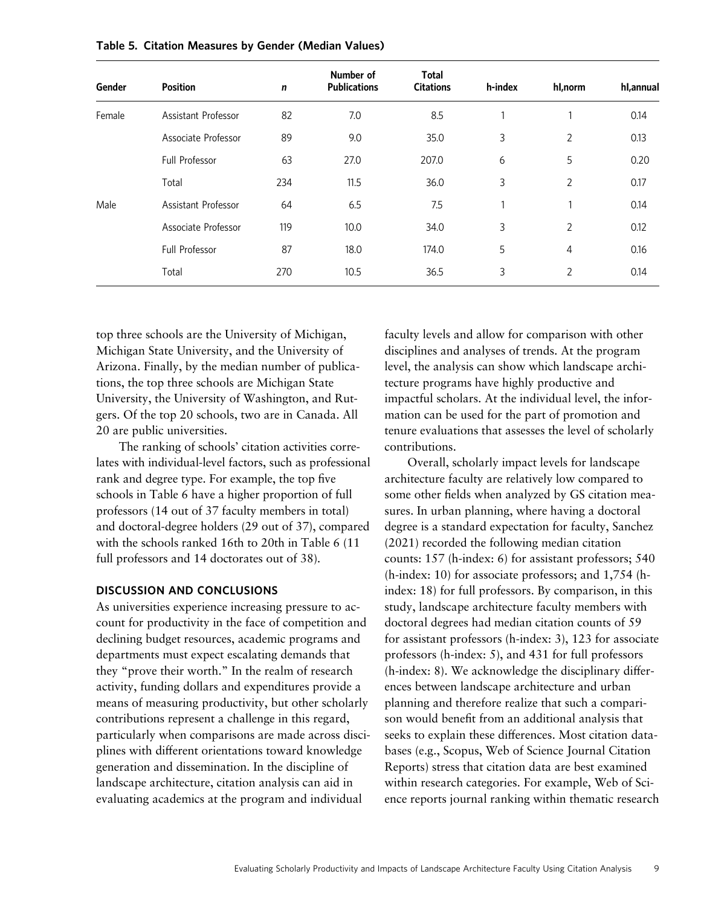| Gender | <b>Position</b>       | $\mathbf n$ | Number of<br><b>Publications</b> | <b>Total</b><br><b>Citations</b> | h-index      | hl,norm        | hl,annual |
|--------|-----------------------|-------------|----------------------------------|----------------------------------|--------------|----------------|-----------|
| Female | Assistant Professor   | 82          | 7.0                              | 8.5                              | 1            | 1              | 0.14      |
|        | Associate Professor   | 89          | 9.0                              | 35.0                             | 3            | $\overline{2}$ | 0.13      |
|        | <b>Full Professor</b> | 63          | 27.0                             | 207.0                            | 6            | 5              | 0.20      |
|        | Total                 | 234         | 11.5                             | 36.0                             | 3            | 2              | 0.17      |
| Male   | Assistant Professor   | 64          | 6.5                              | 7.5                              | $\mathbf{1}$ | 1              | 0.14      |
|        | Associate Professor   | 119         | 10.0                             | 34.0                             | 3            | 2              | 0.12      |
|        | Full Professor        | 87          | 18.0                             | 174.0                            | 5            | 4              | 0.16      |
|        | Total                 | 270         | 10.5                             | 36.5                             | 3            | 2              | 0.14      |

Table 5. Citation Measures by Gender (Median Values)

top three schools are the University of Michigan, Michigan State University, and the University of Arizona. Finally, by the median number of publications, the top three schools are Michigan State University, the University of Washington, and Rutgers. Of the top 20 schools, two are in Canada. All 20 are public universities.

The ranking of schools' citation activities correlates with individual-level factors, such as professional rank and degree type. For example, the top five schools in Table 6 have a higher proportion of full professors (14 out of 37 faculty members in total) and doctoral-degree holders (29 out of 37), compared with the schools ranked 16th to 20th in Table 6 (11 full professors and 14 doctorates out of 38).

## DISCUSSION AND CONCLUSIONS

As universities experience increasing pressure to account for productivity in the face of competition and declining budget resources, academic programs and departments must expect escalating demands that they "prove their worth." In the realm of research activity, funding dollars and expenditures provide a means of measuring productivity, but other scholarly contributions represent a challenge in this regard, particularly when comparisons are made across disciplines with different orientations toward knowledge generation and dissemination. In the discipline of landscape architecture, citation analysis can aid in evaluating academics at the program and individual

faculty levels and allow for comparison with other disciplines and analyses of trends. At the program level, the analysis can show which landscape architecture programs have highly productive and impactful scholars. At the individual level, the information can be used for the part of promotion and tenure evaluations that assesses the level of scholarly contributions.

Overall, scholarly impact levels for landscape architecture faculty are relatively low compared to some other fields when analyzed by GS citation measures. In urban planning, where having a doctoral degree is a standard expectation for faculty, Sanchez (2021) recorded the following median citation counts: 157 (h-index: 6) for assistant professors; 540 (h-index: 10) for associate professors; and 1,754 (hindex: 18) for full professors. By comparison, in this study, landscape architecture faculty members with doctoral degrees had median citation counts of 59 for assistant professors (h-index: 3), 123 for associate professors (h-index: 5), and 431 for full professors (h-index: 8). We acknowledge the disciplinary differences between landscape architecture and urban planning and therefore realize that such a comparison would benefit from an additional analysis that seeks to explain these differences. Most citation databases (e.g., Scopus, Web of Science Journal Citation Reports) stress that citation data are best examined within research categories. For example, Web of Science reports journal ranking within thematic research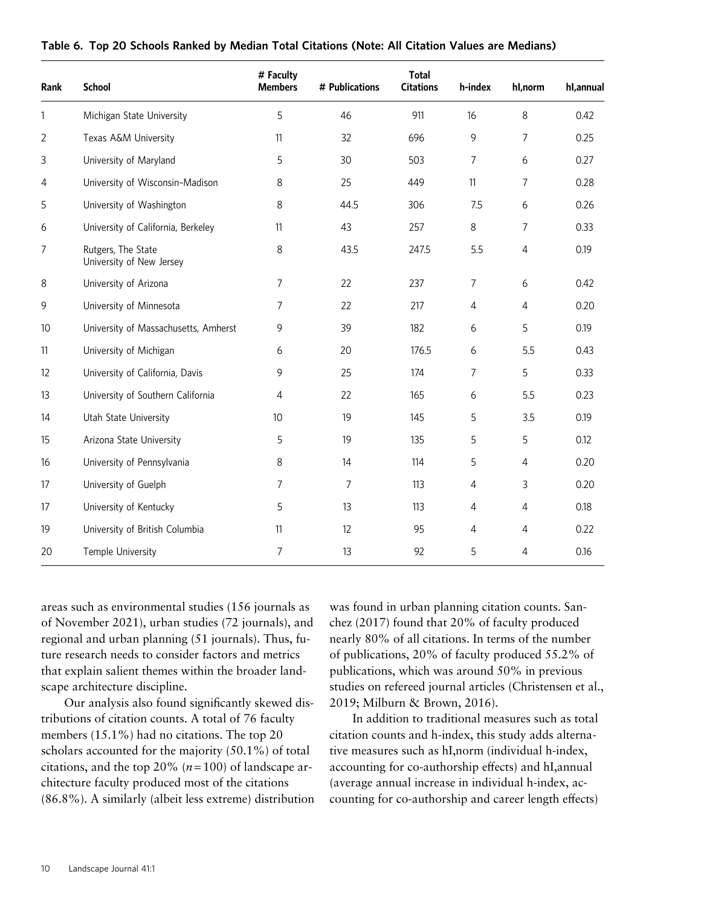| Rank           | <b>School</b>                                  | # Faculty<br><b>Members</b> | # Publications | <b>Total</b><br><b>Citations</b> | h-index        | hl,norm        | hl,annual |
|----------------|------------------------------------------------|-----------------------------|----------------|----------------------------------|----------------|----------------|-----------|
| 1              | Michigan State University                      | 5                           | 46             | 911                              | 16             | 8              | 0.42      |
| $\overline{2}$ | Texas A&M University                           | 11                          | 32             | 696                              | $\mathsf 9$    | 7              | 0.25      |
| 3              | University of Maryland                         | 5                           | 30             | 503                              | $\overline{7}$ | 6              | 0.27      |
| 4              | University of Wisconsin-Madison                | 8                           | 25             | 449                              | 11             | 7              | 0.28      |
| 5              | University of Washington                       | 8                           | 44.5           | 306                              | 7.5            | 6              | 0.26      |
| 6              | University of California, Berkeley             | 11                          | 43             | 257                              | 8              | 7              | 0.33      |
| 7              | Rutgers, The State<br>University of New Jersey | $\,8\,$                     | 43.5           | 247.5                            | 5.5            | $\overline{4}$ | 0.19      |
| 8              | University of Arizona                          | 7                           | 22             | 237                              | 7              | 6              | 0.42      |
| 9              | University of Minnesota                        | 7                           | 22             | 217                              | $\overline{4}$ | 4              | 0.20      |
| 10             | University of Massachusetts, Amherst           | 9                           | 39             | 182                              | 6              | 5              | 0.19      |
| 11             | University of Michigan                         | 6                           | 20             | 176.5                            | 6              | 5.5            | 0.43      |
| 12             | University of California, Davis                | 9                           | 25             | 174                              | $\overline{7}$ | 5              | 0.33      |
| 13             | University of Southern California              | $\overline{4}$              | 22             | 165                              | 6              | 5.5            | 0.23      |
| 14             | Utah State University                          | 10 <sup>°</sup>             | 19             | 145                              | 5              | 3.5            | 0.19      |
| 15             | Arizona State University                       | 5                           | 19             | 135                              | 5              | 5              | 0.12      |
| 16             | University of Pennsylvania                     | $\,8\,$                     | 14             | 114                              | 5              | 4              | 0.20      |
| 17             | University of Guelph                           | $\overline{7}$              | 7              | 113                              | 4              | 3              | 0.20      |
| 17             | University of Kentucky                         | 5                           | 13             | 113                              | $\overline{4}$ | 4              | 0.18      |
| 19             | University of British Columbia                 | 11                          | 12             | 95                               | $\overline{4}$ | 4              | 0.22      |
| 20             | Temple University                              | $\overline{7}$              | 13             | 92                               | 5              | 4              | 0.16      |

## Table 6. Top 20 Schools Ranked by Median Total Citations (Note: All Citation Values are Medians)

areas such as environmental studies (156 journals as of November 2021), urban studies (72 journals), and regional and urban planning (51 journals). Thus, future research needs to consider factors and metrics that explain salient themes within the broader landscape architecture discipline.

Our analysis also found significantly skewed distributions of citation counts. A total of 76 faculty members (15.1%) had no citations. The top 20 scholars accounted for the majority (50.1%) of total citations, and the top 20% ( $n = 100$ ) of landscape architecture faculty produced most of the citations (86.8%). A similarly (albeit less extreme) distribution was found in urban planning citation counts. Sanchez (2017) found that 20% of faculty produced nearly 80% of all citations. In terms of the number of publications, 20% of faculty produced 55.2% of publications, which was around 50% in previous studies on refereed journal articles (Christensen et al., 2019; Milburn & Brown, 2016).

In addition to traditional measures such as total citation counts and h-index, this study adds alternative measures such as hI,norm (individual h-index, accounting for co-authorship effects) and hI,annual (average annual increase in individual h-index, accounting for co-authorship and career length effects)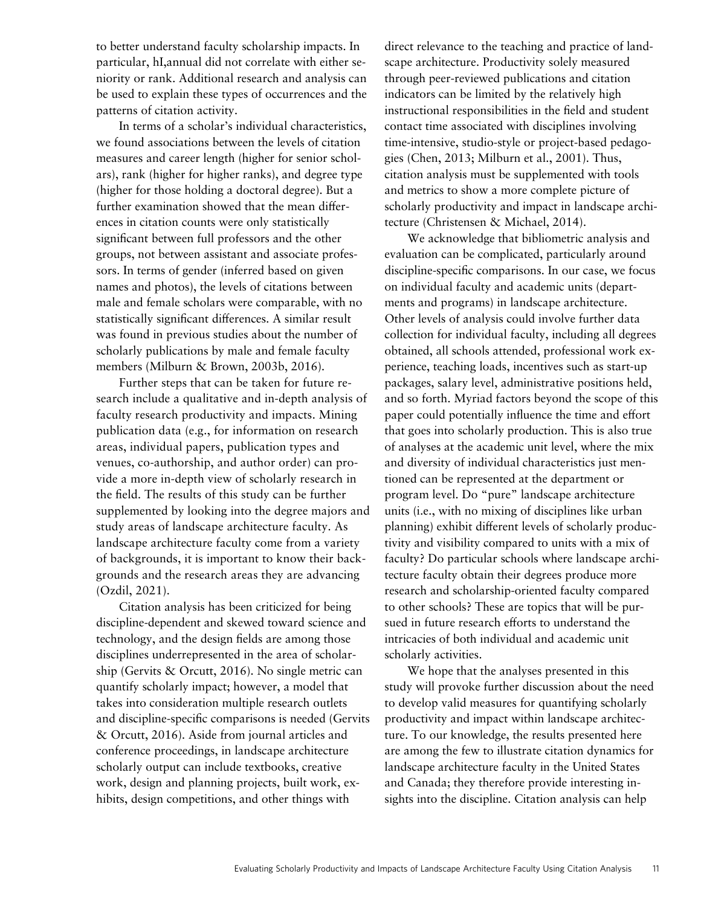to better understand faculty scholarship impacts. In particular, hI,annual did not correlate with either seniority or rank. Additional research and analysis can be used to explain these types of occurrences and the patterns of citation activity.

In terms of a scholar's individual characteristics, we found associations between the levels of citation measures and career length (higher for senior scholars), rank (higher for higher ranks), and degree type (higher for those holding a doctoral degree). But a further examination showed that the mean differences in citation counts were only statistically significant between full professors and the other groups, not between assistant and associate professors. In terms of gender (inferred based on given names and photos), the levels of citations between male and female scholars were comparable, with no statistically significant differences. A similar result was found in previous studies about the number of scholarly publications by male and female faculty members (Milburn & Brown, 2003b, 2016).

Further steps that can be taken for future research include a qualitative and in-depth analysis of faculty research productivity and impacts. Mining publication data (e.g., for information on research areas, individual papers, publication types and venues, co-authorship, and author order) can provide a more in-depth view of scholarly research in the field. The results of this study can be further supplemented by looking into the degree majors and study areas of landscape architecture faculty. As landscape architecture faculty come from a variety of backgrounds, it is important to know their backgrounds and the research areas they are advancing (Ozdil, 2021).

Citation analysis has been criticized for being discipline-dependent and skewed toward science and technology, and the design fields are among those disciplines underrepresented in the area of scholarship (Gervits & Orcutt, 2016). No single metric can quantify scholarly impact; however, a model that takes into consideration multiple research outlets and discipline-specific comparisons is needed (Gervits & Orcutt, 2016). Aside from journal articles and conference proceedings, in landscape architecture scholarly output can include textbooks, creative work, design and planning projects, built work, exhibits, design competitions, and other things with

direct relevance to the teaching and practice of landscape architecture. Productivity solely measured through peer-reviewed publications and citation indicators can be limited by the relatively high instructional responsibilities in the field and student contact time associated with disciplines involving time-intensive, studio-style or project-based pedagogies (Chen, 2013; Milburn et al., 2001). Thus, citation analysis must be supplemented with tools and metrics to show a more complete picture of scholarly productivity and impact in landscape architecture (Christensen & Michael, 2014).

We acknowledge that bibliometric analysis and evaluation can be complicated, particularly around discipline-specific comparisons. In our case, we focus on individual faculty and academic units (departments and programs) in landscape architecture. Other levels of analysis could involve further data collection for individual faculty, including all degrees obtained, all schools attended, professional work experience, teaching loads, incentives such as start-up packages, salary level, administrative positions held, and so forth. Myriad factors beyond the scope of this paper could potentially influence the time and effort that goes into scholarly production. This is also true of analyses at the academic unit level, where the mix and diversity of individual characteristics just mentioned can be represented at the department or program level. Do "pure" landscape architecture units (i.e., with no mixing of disciplines like urban planning) exhibit different levels of scholarly productivity and visibility compared to units with a mix of faculty? Do particular schools where landscape architecture faculty obtain their degrees produce more research and scholarship-oriented faculty compared to other schools? These are topics that will be pursued in future research efforts to understand the intricacies of both individual and academic unit scholarly activities.

We hope that the analyses presented in this study will provoke further discussion about the need to develop valid measures for quantifying scholarly productivity and impact within landscape architecture. To our knowledge, the results presented here are among the few to illustrate citation dynamics for landscape architecture faculty in the United States and Canada; they therefore provide interesting insights into the discipline. Citation analysis can help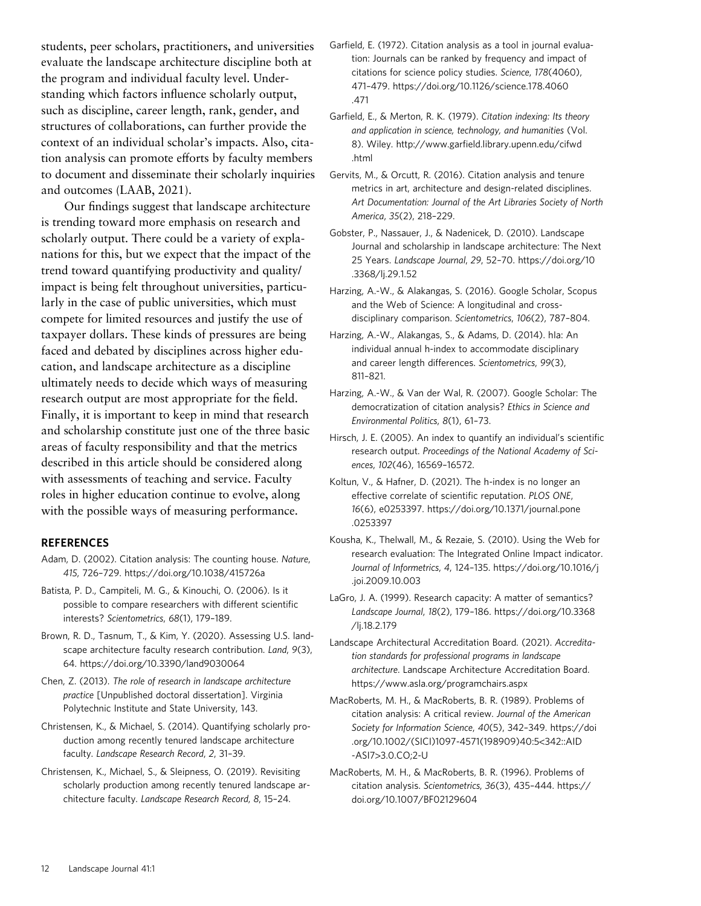students, peer scholars, practitioners, and universities evaluate the landscape architecture discipline both at the program and individual faculty level. Understanding which factors influence scholarly output, such as discipline, career length, rank, gender, and structures of collaborations, can further provide the context of an individual scholar's impacts. Also, citation analysis can promote efforts by faculty members to document and disseminate their scholarly inquiries and outcomes (LAAB, 2021).

Our findings suggest that landscape architecture is trending toward more emphasis on research and scholarly output. There could be a variety of explanations for this, but we expect that the impact of the trend toward quantifying productivity and quality/ impact is being felt throughout universities, particularly in the case of public universities, which must compete for limited resources and justify the use of taxpayer dollars. These kinds of pressures are being faced and debated by disciplines across higher education, and landscape architecture as a discipline ultimately needs to decide which ways of measuring research output are most appropriate for the field. Finally, it is important to keep in mind that research and scholarship constitute just one of the three basic areas of faculty responsibility and that the metrics described in this article should be considered along with assessments of teaching and service. Faculty roles in higher education continue to evolve, along with the possible ways of measuring performance.

## **REFERENCES**

- Adam, D. (2002). Citation analysis: The counting house. Nature, 415, 726–729.<https://doi.org/10.1038/415726a>
- Batista, P. D., Campiteli, M. G., & Kinouchi, O. (2006). Is it possible to compare researchers with different scientific interests? Scientometrics, 68(1), 179–189.
- Brown, R. D., Tasnum, T., & Kim, Y. (2020). Assessing U.S. landscape architecture faculty research contribution. Land, 9(3), 64.<https://doi.org/10.3390/land9030064>
- Chen, Z. (2013). The role of research in landscape architecture practice [Unpublished doctoral dissertation]. Virginia Polytechnic Institute and State University, 143.
- Christensen, K., & Michael, S. (2014). Quantifying scholarly production among recently tenured landscape architecture faculty. Landscape Research Record, 2, 31–39.
- Christensen, K., Michael, S., & Sleipness, O. (2019). Revisiting scholarly production among recently tenured landscape architecture faculty. Landscape Research Record, 8, 15–24.
- Garfield, E. (1972). Citation analysis as a tool in journal evaluation: Journals can be ranked by frequency and impact of citations for science policy studies. Science, 178(4060), 471–479. [https://doi.org/10.1126/science.178.4060](https://doi.org/10.1126/science.178.4060.471) [.471](https://doi.org/10.1126/science.178.4060.471)
- Garfield, E., & Merton, R. K. (1979). Citation indexing: Its theory and application in science, technology, and humanities (Vol. 8). Wiley. http://www.garfi[eld.library.upenn.edu/cifwd](http://www.garfield.library.upenn.edu/cifwd.html) [.html](http://www.garfield.library.upenn.edu/cifwd.html)
- Gervits, M., & Orcutt, R. (2016). Citation analysis and tenure metrics in art, architecture and design-related disciplines. Art Documentation: Journal of the Art Libraries Society of North America, 35(2), 218–229.
- Gobster, P., Nassauer, J., & Nadenicek, D. (2010). Landscape Journal and scholarship in landscape architecture: The Next 25 Years. Landscape Journal, 29, 52–70. [https://doi.org/10](https://doi.org/10.3368/lj.29.1.52) [.3368/lj.29.1.52](https://doi.org/10.3368/lj.29.1.52)
- Harzing, A.-W., & Alakangas, S. (2016). Google Scholar, Scopus and the Web of Science: A longitudinal and crossdisciplinary comparison. Scientometrics, 106(2), 787–804.
- Harzing, A.-W., Alakangas, S., & Adams, D. (2014). hIa: An individual annual h-index to accommodate disciplinary and career length differences. Scientometrics, 99(3), 811–821.
- Harzing, A.-W., & Van der Wal, R. (2007). Google Scholar: The democratization of citation analysis? Ethics in Science and Environmental Politics, 8(1), 61–73.
- Hirsch, J. E. (2005). An index to quantify an individual's scientific research output. Proceedings of the National Academy of Sciences, 102(46), 16569–16572.
- Koltun, V., & Hafner, D. (2021). The h-index is no longer an effective correlate of scientific reputation. PLOS ONE, 16(6), e0253397. [https://doi.org/10.1371/journal.pone](https://doi.org/10.1371/journal.pone.0253397) [.0253397](https://doi.org/10.1371/journal.pone.0253397)
- Kousha, K., Thelwall, M., & Rezaie, S. (2010). Using the Web for research evaluation: The Integrated Online Impact indicator. Journal of Informetrics, 4, 124–135. [https://doi.org/10.1016/j](https://doi.org/10.1016/j.joi.2009.10.003) [.joi.2009.10.003](https://doi.org/10.1016/j.joi.2009.10.003)
- LaGro, J. A. (1999). Research capacity: A matter of semantics? Landscape Journal, 18(2), 179–186. [https://doi.org/10.3368](https://doi.org/10.3368/lj.18.2.179) [/lj.18.2.179](https://doi.org/10.3368/lj.18.2.179)
- Landscape Architectural Accreditation Board. (2021). Accreditation standards for professional programs in landscape architecture. Landscape Architecture Accreditation Board. <https://www.asla.org/programchairs.aspx>
- MacRoberts, M. H., & MacRoberts, B. R. (1989). Problems of citation analysis: A critical review. Journal of the American Society for Information Science, 40(5), 342–349. [https://doi](https://doi.org/10.1002/(SICI) [.org/10.1002/\(SICI](https://doi.org/10.1002/(SICI))1097-4571(198909)40:5<342::AID -ASI7>3.0.CO;2-U
- MacRoberts, M. H., & MacRoberts, B. R. (1996). Problems of citation analysis. Scientometrics, 36(3), 435–444. [https://](https://doi.org/10.1007/BF02129604) [doi.org/10.1007/BF02129604](https://doi.org/10.1007/BF02129604)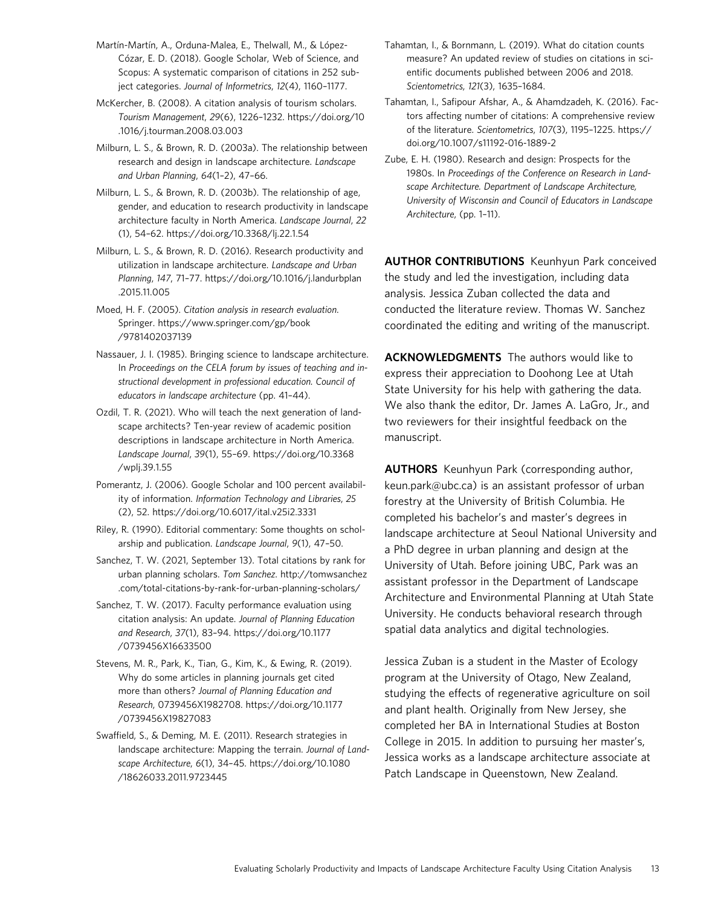- Martín-Martín, A., Orduna-Malea, E., Thelwall, M., & López-Cózar, E. D. (2018). Google Scholar, Web of Science, and Scopus: A systematic comparison of citations in 252 subject categories. Journal of Informetrics, 12(4), 1160–1177.
- McKercher, B. (2008). A citation analysis of tourism scholars. Tourism Management, 29(6), 1226–1232. [https://doi.org/10](https://doi.org/10.1016/j.tourman.2008.03.003) [.1016/j.tourman.2008.03.003](https://doi.org/10.1016/j.tourman.2008.03.003)
- Milburn, L. S., & Brown, R. D. (2003a). The relationship between research and design in landscape architecture. Landscape and Urban Planning, 64(1–2), 47–66.
- Milburn, L. S., & Brown, R. D. (2003b). The relationship of age, gender, and education to research productivity in landscape architecture faculty in North America. Landscape Journal, 22 (1), 54–62.<https://doi.org/10.3368/lj.22.1.54>
- Milburn, L. S., & Brown, R. D. (2016). Research productivity and utilization in landscape architecture. Landscape and Urban Planning, 147, 71–77. [https://doi.org/10.1016/j.landurbplan](https://doi.org/10.1016/j.landurbplan.2015.11.005) [.2015.11.005](https://doi.org/10.1016/j.landurbplan.2015.11.005)
- Moed, H. F. (2005). Citation analysis in research evaluation. Springer. [https://www.springer.com/gp/book](https://www.springer.com/gp/book/9781402037139) [/9781402037139](https://www.springer.com/gp/book/9781402037139)
- Nassauer, J. I. (1985). Bringing science to landscape architecture. In Proceedings on the CELA forum by issues of teaching and instructional development in professional education. Council of educators in landscape architecture (pp. 41–44).
- Ozdil, T. R. (2021). Who will teach the next generation of landscape architects? Ten-year review of academic position descriptions in landscape architecture in North America. Landscape Journal, 39(1), 55–69. [https://doi.org/10.3368](https://doi.org/10.3368/wplj.39.1.55) [/wplj.39.1.55](https://doi.org/10.3368/wplj.39.1.55)
- Pomerantz, J. (2006). Google Scholar and 100 percent availability of information. Information Technology and Libraries, 25 (2), 52.<https://doi.org/10.6017/ital.v25i2.3331>
- Riley, R. (1990). Editorial commentary: Some thoughts on scholarship and publication. Landscape Journal, 9(1), 47–50.
- Sanchez, T. W. (2021, September 13). Total citations by rank for urban planning scholars. Tom Sanchez. [http://tomwsanchez](http://tomwsanchez.com/total-citations-by-rank-for-urban-planning-scholars/) [.com/total-citations-by-rank-for-urban-planning-scholars/](http://tomwsanchez.com/total-citations-by-rank-for-urban-planning-scholars/)
- Sanchez, T. W. (2017). Faculty performance evaluation using citation analysis: An update. Journal of Planning Education and Research, 37(1), 83–94. [https://doi.org/10.1177](https://doi.org/10.1177/0739456X16633500) [/0739456X16633500](https://doi.org/10.1177/0739456X16633500)
- Stevens, M. R., Park, K., Tian, G., Kim, K., & Ewing, R. (2019). Why do some articles in planning journals get cited more than others? Journal of Planning Education and Research, 0739456X1982708. [https://doi.org/10.1177](https://doi.org/10.1177/0739456X19827083) [/0739456X19827083](https://doi.org/10.1177/0739456X19827083)
- Swaffield, S., & Deming, M. E. (2011). Research strategies in landscape architecture: Mapping the terrain. Journal of Landscape Architecture, 6(1), 34–45. [https://doi.org/10.1080](https://doi.org/10.1080/18626033.2011.9723445) [/18626033.2011.9723445](https://doi.org/10.1080/18626033.2011.9723445)
- Tahamtan, I., & Bornmann, L. (2019). What do citation counts measure? An updated review of studies on citations in scientific documents published between 2006 and 2018. Scientometrics, 121(3), 1635–1684.
- Tahamtan, I., Safipour Afshar, A., & Ahamdzadeh, K. (2016). Factors affecting number of citations: A comprehensive review of the literature. Scientometrics, 107(3), 1195–1225. [https://](https://doi.org/10.1007/s11192-016-1889-2) [doi.org/10.1007/s11192-016-1889-2](https://doi.org/10.1007/s11192-016-1889-2)
- Zube, E. H. (1980). Research and design: Prospects for the 1980s. In Proceedings of the Conference on Research in Landscape Architecture. Department of Landscape Architecture, University of Wisconsin and Council of Educators in Landscape Architecture, (pp. 1–11).

AUTHOR CONTRIBUTIONS Keunhyun Park conceived the study and led the investigation, including data analysis. Jessica Zuban collected the data and conducted the literature review. Thomas W. Sanchez coordinated the editing and writing of the manuscript.

ACKNOWLEDGMENTS The authors would like to express their appreciation to Doohong Lee at Utah State University for his help with gathering the data. We also thank the editor, Dr. James A. LaGro, Jr., and two reviewers for their insightful feedback on the manuscript.

AUTHORS Keunhyun Park (corresponding author, keun.park@ubc.ca) is an assistant professor of urban forestry at the University of British Columbia. He completed his bachelor's and master's degrees in landscape architecture at Seoul National University and a PhD degree in urban planning and design at the University of Utah. Before joining UBC, Park was an assistant professor in the Department of Landscape Architecture and Environmental Planning at Utah State University. He conducts behavioral research through spatial data analytics and digital technologies.

Jessica Zuban is a student in the Master of Ecology program at the University of Otago, New Zealand, studying the effects of regenerative agriculture on soil and plant health. Originally from New Jersey, she completed her BA in International Studies at Boston College in 2015. In addition to pursuing her master's, Jessica works as a landscape architecture associate at Patch Landscape in Queenstown, New Zealand.